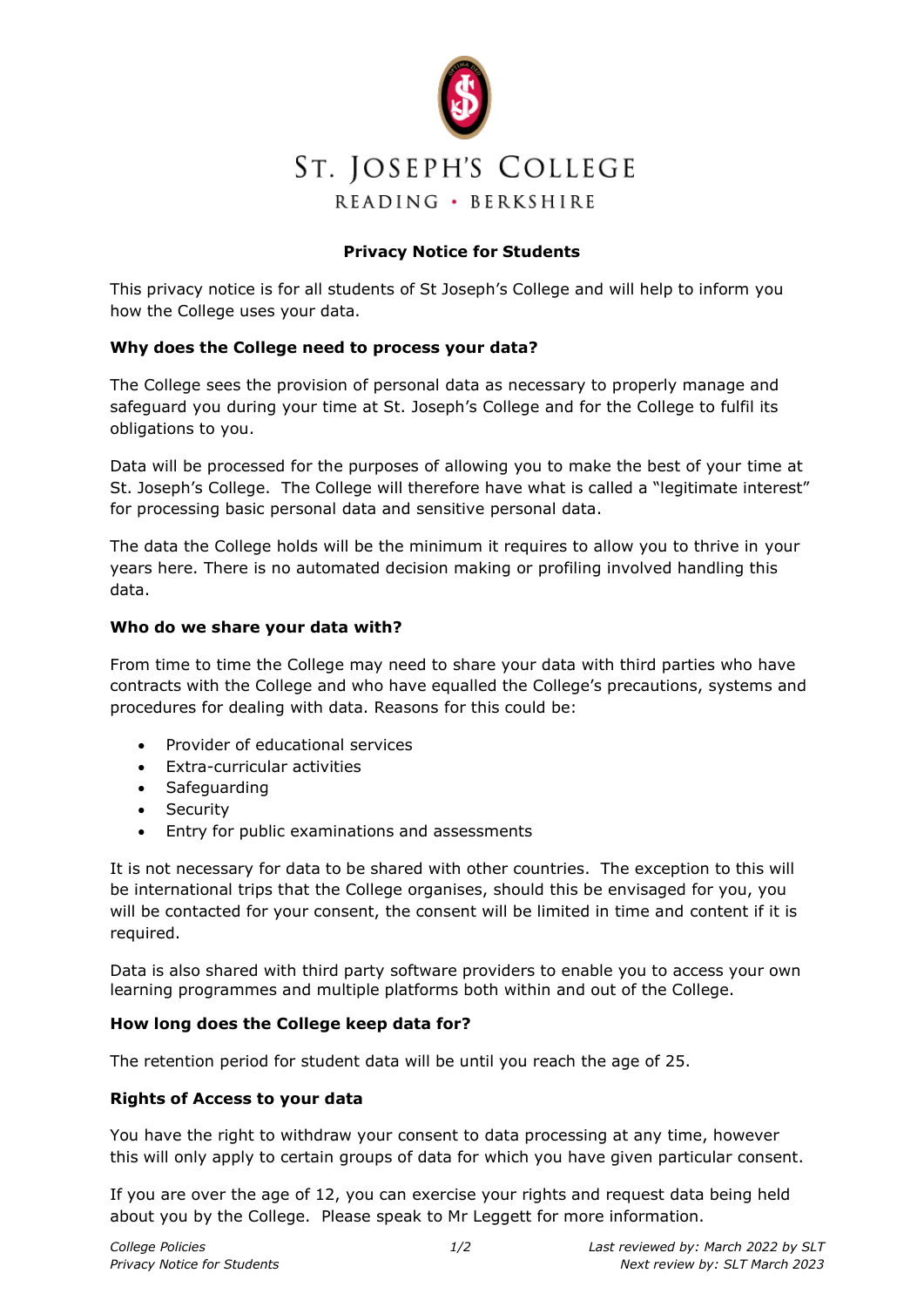

# **Privacy Notice for Students**

This privacy notice is for all students of St Joseph's College and will help to inform you how the College uses your data.

### **Why does the College need to process your data?**

The College sees the provision of personal data as necessary to properly manage and safeguard you during your time at St. Joseph's College and for the College to fulfil its obligations to you.

Data will be processed for the purposes of allowing you to make the best of your time at St. Joseph's College. The College will therefore have what is called a "legitimate interest" for processing basic personal data and sensitive personal data.

The data the College holds will be the minimum it requires to allow you to thrive in your years here. There is no automated decision making or profiling involved handling this data.

#### **Who do we share your data with?**

From time to time the College may need to share your data with third parties who have contracts with the College and who have equalled the College's precautions, systems and procedures for dealing with data. Reasons for this could be:

- Provider of educational services
- Extra-curricular activities
- Safeguarding
- Security
- Entry for public examinations and assessments

It is not necessary for data to be shared with other countries. The exception to this will be international trips that the College organises, should this be envisaged for you, you will be contacted for your consent, the consent will be limited in time and content if it is required.

Data is also shared with third party software providers to enable you to access your own learning programmes and multiple platforms both within and out of the College.

#### **How long does the College keep data for?**

The retention period for student data will be until you reach the age of 25.

#### **Rights of Access to your data**

You have the right to withdraw your consent to data processing at any time, however this will only apply to certain groups of data for which you have given particular consent.

If you are over the age of 12, you can exercise your rights and request data being held about you by the College. Please speak to Mr Leggett for more information.